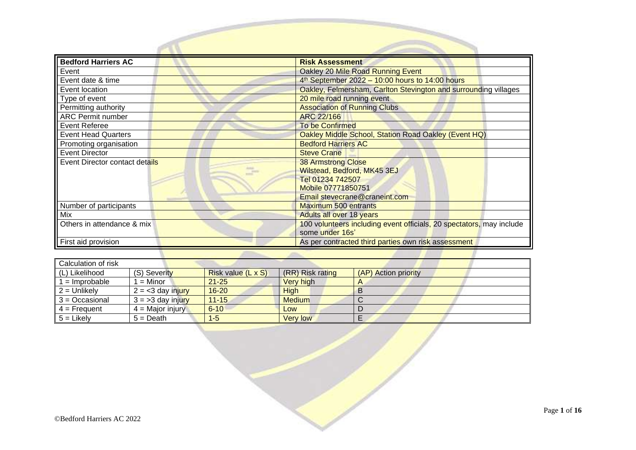| <b>Bedford Harriers AC</b>     | <b>Risk Assessment</b>                                                                  |
|--------------------------------|-----------------------------------------------------------------------------------------|
| Event                          | Oakley 20 Mile Road Running Event                                                       |
| Event date & time              | $4th$ September 2022 - 10:00 hours to 14:00 hours                                       |
| Event location                 | Oakley, Felmersham, Carlton Stevington and surrounding villages                         |
| Type of event                  | 20 mile road running event                                                              |
| Permitting authority           | <b>Association of Running Clubs</b>                                                     |
| <b>ARC Permit number</b>       | <b>ARC 22/166</b>                                                                       |
| Event Referee                  | <b>To be Confirmed</b>                                                                  |
| <b>Event Head Quarters</b>     | Oakley Middle School, Station Road Oakley (Event HQ)                                    |
| Promoting organisation         | <b>Bedford Harriers AC</b>                                                              |
| <b>Event Director</b>          | <b>Steve Crane</b>                                                                      |
| Event Director contact details | <b>38 Armstrong Close</b>                                                               |
|                                | Wilstead, Bedford, MK45 3EJ                                                             |
|                                | Tel 01234 742507                                                                        |
|                                | Mobile 07771850751                                                                      |
|                                | Email stevecrane@craneint.com                                                           |
| Number of participants         | <b>Maximum 500 entrants</b>                                                             |
| Mix                            | <b>Adults all over 18 years</b>                                                         |
| Others in attendance & mix     | 100 volunteers including event officials, 20 spectators, may include<br>some under 16s' |
| First aid provision            | As per contracted third parties own risk assessment                                     |

| Calculation of risk |                    |                           |                  |                      |
|---------------------|--------------------|---------------------------|------------------|----------------------|
| (L) Likelihood      | (S) Severity       | <b>Risk value (L x S)</b> | (RR) Risk rating | (AP) Action priority |
| $=$ Improbable      | $=$ Minor          | $21 - 25$                 | Very high        | A                    |
| $2 =$ Unlikely      | $2 = 3$ day injury | $16 - 20$                 | High             |                      |
| $3 = Occasional$    | $3 = 3$ day injury | $11 - 15$                 | <b>Medium</b>    |                      |
| $4 =$ Frequent      | $4 =$ Major injury | $6 - 10$                  | Low              |                      |
| $5 =$ Likely        | $5 = Death$        | $1 - 5$                   | <b>Very low</b>  |                      |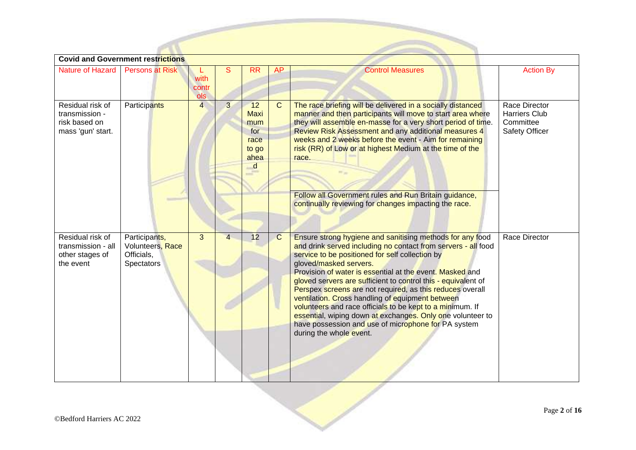|                                                                          | <b>Covid and Government restrictions</b>                      |                      |                |                                                               |              |                                                                                                                                                                                                                                                                                                                                                                                                                                                                                                                                                                                                                                                                    |                                                               |  |  |  |  |  |
|--------------------------------------------------------------------------|---------------------------------------------------------------|----------------------|----------------|---------------------------------------------------------------|--------------|--------------------------------------------------------------------------------------------------------------------------------------------------------------------------------------------------------------------------------------------------------------------------------------------------------------------------------------------------------------------------------------------------------------------------------------------------------------------------------------------------------------------------------------------------------------------------------------------------------------------------------------------------------------------|---------------------------------------------------------------|--|--|--|--|--|
| <b>Nature of Hazard</b>                                                  | <b>Persons at Risk</b>                                        | with<br>contr<br>ols | S              | <b>RR</b>                                                     | <b>AP</b>    | <b>Control Measures</b>                                                                                                                                                                                                                                                                                                                                                                                                                                                                                                                                                                                                                                            | <b>Action By</b>                                              |  |  |  |  |  |
| Residual risk of<br>transmission -<br>risk based on<br>mass 'gun' start. | Participants                                                  | $\overline{4}$       | $\overline{3}$ | 12<br><b>Maxi</b><br>mum<br>for<br>race<br>to go<br>ahea<br>d | $\mathbf{C}$ | The race briefing will be delivered in a socially distanced<br>manner and then participants will move to start area where<br>they will assemble en-masse for a very short period of time.<br>Review Risk Assessment and any additional measures 4<br>weeks and 2 weeks before the event - Aim for remaining<br>risk (RR) of Low or at highest Medium at the time of the<br>race.<br>Follow all Government rules and Run Britain guidance,<br>continually reviewing for changes impacting the race.                                                                                                                                                                 | Race Director<br>Harriers Club<br>Committee<br>Safety Officer |  |  |  |  |  |
| Residual risk of<br>transmission - all<br>other stages of<br>the event   | Participants,<br>Volunteers, Race<br>Officials,<br>Spectators | 3                    | $\overline{4}$ | 12                                                            | $\mathsf{C}$ | Ensure strong hygiene and sanitising methods for any food<br>and drink served including no contact from servers - all food<br>service to be positioned for self collection by<br>gloved/masked servers.<br>Provision of water is essential at the event. Masked and<br>gloved servers are sufficient to control this - equivalent of<br>Perspex screens are not required, as this reduces overall<br>ventilation. Cross handling of equipment between<br>volunteers and race officials to be kept to a minimum. If<br>essential, wiping down at exchanges. Only one volunteer to<br>have possession and use of microphone for PA system<br>during the whole event. | Race Director                                                 |  |  |  |  |  |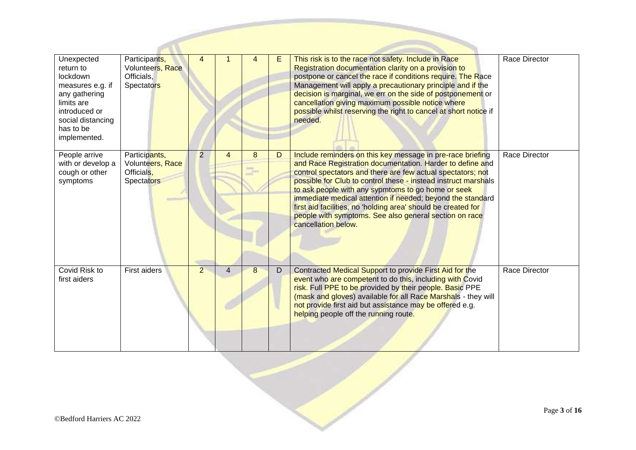| Unexpected<br>return to<br>lockdown<br>measures e.g. if<br>any gathering<br>limits are<br>introduced or<br>social distancing<br>has to be<br>implemented. | Participants,<br>Volunteers, Race<br>Officials,<br>Spectators        | 4              |                | 4 | E. | This risk is to the race not safety. Include in Race<br>Registration documentation clarity on a provision to<br>postpone or cancel the race if conditions require. The Race<br>Management will apply a precautionary principle and if the<br>decision is marginal, we err on the side of postponement or<br>cancellation giving maximum possible notice where<br>possible whilst reserving the right to cancel at short notice if<br>needed.                                                                                   | Race Director        |
|-----------------------------------------------------------------------------------------------------------------------------------------------------------|----------------------------------------------------------------------|----------------|----------------|---|----|--------------------------------------------------------------------------------------------------------------------------------------------------------------------------------------------------------------------------------------------------------------------------------------------------------------------------------------------------------------------------------------------------------------------------------------------------------------------------------------------------------------------------------|----------------------|
| People arrive<br>with or develop a<br>cough or other<br>symptoms                                                                                          | Participants,<br>Volunteers, Race<br>Officials.<br><b>Spectators</b> | $\overline{2}$ | 4              | 8 | D  | Include reminders on this key message in pre-race briefing<br>and Race Registration documentation. Harder to define and<br>control spectators and there are few actual spectators; not<br>possible for Club to control these - instead instruct marshals<br>to ask people with any sypmtoms to go home or seek<br>immediate medical attention if needed; beyond the standard<br>first aid facilities, no 'holding area' should be created for<br>people with symptoms. See also general section on race<br>cancellation below. | <b>Race Director</b> |
| Covid Risk to<br>first aiders                                                                                                                             | First aiders                                                         | $\overline{2}$ | $\overline{4}$ | 8 | D  | Contracted Medical Support to provide First Aid for the<br>event who are competent to do this, including with Covid<br>risk. Full PPE to be provided by their people. Basic PPE<br>(mask and gloves) available for all Race Marshals - they will<br>not provide first aid but assistance may be offered e.g.<br>helping people off the running route.                                                                                                                                                                          | Race Director        |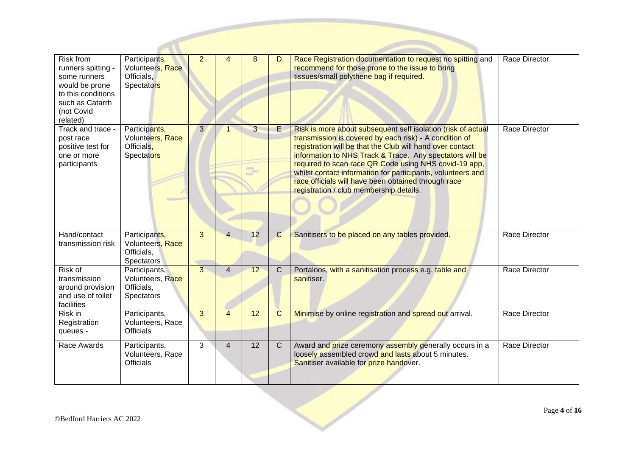| <b>Risk from</b><br>runners spitting -<br>some runners<br>would be prone<br>to this conditions<br>such as Catarrh<br>(not Covid<br>related) | Participants,<br>Volunteers, Race<br>Officials.<br>Spectators        | $\overline{2}$ |                | 8                | D              | Race Registration documentation to request no spitting and<br>recommend for those prone to the issue to bring<br>tissues/small polythene bag if required.                                                                                                                                                                                                                                                                                                                 | Race Director |
|---------------------------------------------------------------------------------------------------------------------------------------------|----------------------------------------------------------------------|----------------|----------------|------------------|----------------|---------------------------------------------------------------------------------------------------------------------------------------------------------------------------------------------------------------------------------------------------------------------------------------------------------------------------------------------------------------------------------------------------------------------------------------------------------------------------|---------------|
| Track and trace -<br>post race<br>positive test for<br>one or more<br>participants                                                          | Participants,<br>Volunteers, Race<br>Officials.<br><b>Spectators</b> | 3 <sup>1</sup> | 1              | 3<br>$\bigoplus$ | E              | Risk is more about subsequent self isolation (risk of actual<br>transmission is covered by each risk) - A condition of<br>registration will be that the Club will hand over contact<br>information to NHS Track & Trace. Any spectators will be<br>required to scan race QR Code using NHS covid-19 app,<br>whilst contact information for participants, volunteers and<br>race officials will have been obtained through race<br>registration / club membership details. | Race Director |
| Hand/contact<br>transmission risk                                                                                                           | Participants,<br>Volunteers, Race<br>Officials,<br>Spectators        | 3              | $\overline{4}$ | 12               | $\mathsf{C}$   | Sanitisers to be placed on any tables provided.                                                                                                                                                                                                                                                                                                                                                                                                                           | Race Director |
| Risk of<br>transmission<br>around provision<br>and use of toilet<br>facilities                                                              | Participants,<br>Volunteers, Race<br>Officials,<br>Spectators        | $\overline{3}$ | $\overline{4}$ | 12               | $\mathsf{C}$   | Portaloos, with a sanitisation process e.g. table and<br>sanitiser.                                                                                                                                                                                                                                                                                                                                                                                                       | Race Director |
| Risk in<br>Registration<br>queues -                                                                                                         | Participants,<br>Volunteers, Race<br><b>Officials</b>                | 3              | $\overline{4}$ | 12               | C              | Minimise by online registration and spread out arrival.                                                                                                                                                                                                                                                                                                                                                                                                                   | Race Director |
| Race Awards                                                                                                                                 | Participants,<br>Volunteers, Race<br><b>Officials</b>                | 3              | $\overline{4}$ | $\overline{12}$  | $\overline{C}$ | Award and prize ceremony assembly generally occurs in a<br>loosely assembled crowd and lasts about 5 minutes.<br>Sanitiser available for prize handover.                                                                                                                                                                                                                                                                                                                  | Race Director |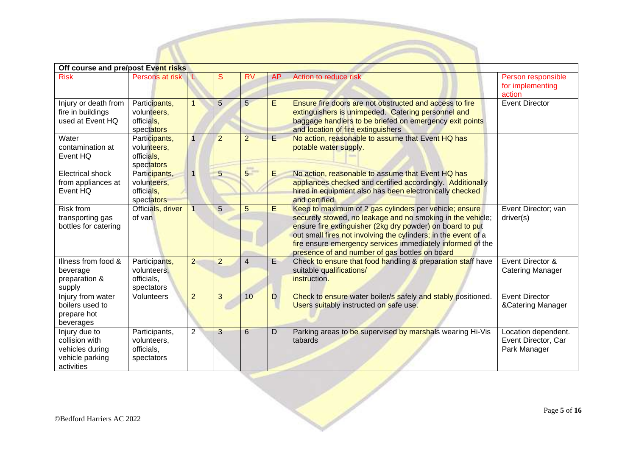| Off course and pre/post Event risks                                                 |                                                          |                |                |                 |           |                                                                                                                                                                                                                                                                                                                                                                     |                                                            |  |  |  |  |  |
|-------------------------------------------------------------------------------------|----------------------------------------------------------|----------------|----------------|-----------------|-----------|---------------------------------------------------------------------------------------------------------------------------------------------------------------------------------------------------------------------------------------------------------------------------------------------------------------------------------------------------------------------|------------------------------------------------------------|--|--|--|--|--|
| <b>Risk</b>                                                                         | Persons at risk                                          | ъ              | S              | <b>RV</b>       | <b>AP</b> | Action to reduce risk                                                                                                                                                                                                                                                                                                                                               | Person responsible<br>for implementing<br>action           |  |  |  |  |  |
| Injury or death from<br>fire in buildings<br>used at Event HQ                       | Participants,<br>volunteers,<br>officials,<br>spectators |                | 5              | 5               | E         | <b>Ensure fire doors are not obstructed and access to fire</b><br>extinguishers is unimpeded. Catering personnel and<br>baggage handlers to be briefed on emergency exit points<br>and location of fire extinguishers                                                                                                                                               | <b>Event Director</b>                                      |  |  |  |  |  |
| Water<br>contamination at<br>Event HQ                                               | Participants,<br>volunteers,<br>officials,<br>spectators |                | $\overline{2}$ | $\overline{2}$  | E.        | No action, reasonable to assume that Event HQ has<br>potable water supply.                                                                                                                                                                                                                                                                                          |                                                            |  |  |  |  |  |
| <b>Electrical shock</b><br>from appliances at<br>Event HQ                           | Participants,<br>volunteers,<br>officials.<br>spectators | $\mathbf{1}$   | 5              | 5 <sup>1</sup>  | E         | No action, reasonable to assume that Event HQ has<br>appliances checked and certified accordingly. Additionally<br>hired in equipment also has been electronically checked<br>and certified.                                                                                                                                                                        |                                                            |  |  |  |  |  |
| <b>Risk from</b><br>transporting gas<br>bottles for catering                        | Officials, driver<br>of van                              | $\overline{1}$ | 5              | 5               | E         | Keep to maximum of 2 gas cylinders per vehicle; ensure<br>securely stowed, no leakage and no smoking in the vehicle;<br>ensure fire extinguisher (2kg dry powder) on board to put<br>out small fires not involving the cylinders; in the event of a<br>fire ensure emergency services immediately informed of the<br>presence of and number of gas bottles on board | Event Director; van<br>driver(s)                           |  |  |  |  |  |
| Illness from food &<br>beverage<br>preparation &<br>supply                          | Participants,<br>volunteers,<br>officials,<br>spectators | $\overline{2}$ | $\overline{2}$ | $\overline{4}$  | E         | Check to ensure that food handling & preparation staff have<br>suitable qualifications/<br>instruction.                                                                                                                                                                                                                                                             | Event Director &<br>Catering Manager                       |  |  |  |  |  |
| Injury from water<br>boilers used to<br>prepare hot<br>beverages                    | Volunteers                                               | $\overline{2}$ | 3              | 10              | D         | Check to ensure water boiler/s safely and stably positioned.<br>Users suitably instructed on safe use.                                                                                                                                                                                                                                                              | <b>Event Director</b><br>&Catering Manager                 |  |  |  |  |  |
| Injury due to<br>collision with<br>vehicles during<br>vehicle parking<br>activities | Participants,<br>volunteers,<br>officials,<br>spectators | $\overline{2}$ | 3              | $6\overline{6}$ | D         | Parking areas to be supervised by marshals wearing Hi-Vis<br>tabards                                                                                                                                                                                                                                                                                                | Location dependent.<br>Event Director, Car<br>Park Manager |  |  |  |  |  |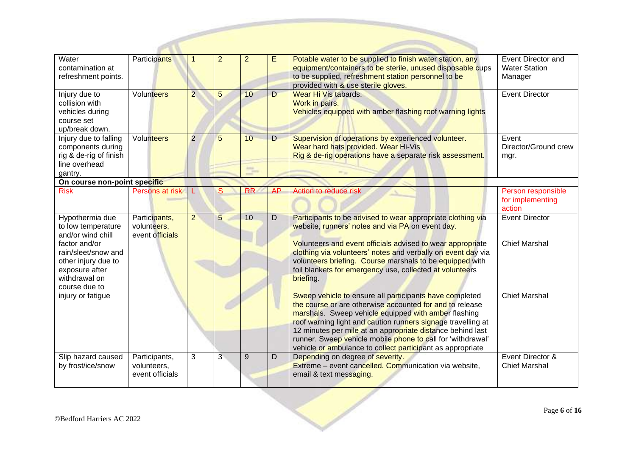| Water<br>contamination at<br>refreshment points.                                                                | Participants                                    |                | $\overline{2}$ | $\overline{2}$ | Е              | Potable water to be supplied to finish water station, any<br>equipment/containers to be sterile, unused disposable cups<br>to be supplied, refreshment station personnel to be<br>provided with & use sterile gloves.                                                                                                                                                                                                                  | <b>Event Director and</b><br><b>Water Station</b><br>Manager |
|-----------------------------------------------------------------------------------------------------------------|-------------------------------------------------|----------------|----------------|----------------|----------------|----------------------------------------------------------------------------------------------------------------------------------------------------------------------------------------------------------------------------------------------------------------------------------------------------------------------------------------------------------------------------------------------------------------------------------------|--------------------------------------------------------------|
| Injury due to<br>collision with<br>vehicles during<br>course set<br>up/break down.                              | Volunteers                                      | $\overline{2}$ | 5              | 10             | $\overline{D}$ | Wear Hi Vis tabards.<br>Work in pairs.<br>Vehicles equipped with amber flashing roof warning lights                                                                                                                                                                                                                                                                                                                                    | <b>Event Director</b>                                        |
| Injury due to falling<br>components during<br>rig & de-rig of finish<br>line overhead<br>gantry.                | Volunteers                                      | $\overline{2}$ | 5              | 10             | D              | Supervision of operations by experienced volunteer.<br>Wear hard hats provided. Wear Hi-Vis<br>Rig & de-rig operations have a separate risk assessment.                                                                                                                                                                                                                                                                                | Event<br>Director/Ground crew<br>mgr.                        |
| On course non-point specific                                                                                    |                                                 |                |                |                |                |                                                                                                                                                                                                                                                                                                                                                                                                                                        |                                                              |
| <b>Risk</b>                                                                                                     | Persons at risk                                 |                | S              | <b>RR</b>      | <b>AP</b>      | Action to reduce risk                                                                                                                                                                                                                                                                                                                                                                                                                  | Person responsible<br>for implementing<br>action             |
| Hypothermia due<br>to low temperature<br>and/or wind chill                                                      | Participants,<br>volunteers,<br>event officials | $\overline{2}$ | 5              | 10             | D              | Participants to be advised to wear appropriate clothing via<br>website, runners' notes and via PA on event day.                                                                                                                                                                                                                                                                                                                        | <b>Event Director</b>                                        |
| factor and/or<br>rain/sleet/snow and<br>other injury due to<br>exposure after<br>withdrawal on<br>course due to |                                                 |                |                |                |                | Volunteers and event officials advised to wear appropriate<br>clothing via volunteers' notes and verbally on event day via<br>volunteers briefing. Course marshals to be equipped with<br>foil blankets for emergency use, collected at volunteers<br>briefing.                                                                                                                                                                        | <b>Chief Marshal</b>                                         |
| injury or fatigue                                                                                               |                                                 |                |                |                |                | Sweep vehicle to ensure all participants have completed<br>the course or are otherwise accounted for and to release<br>marshals. Sweep vehicle equipped with amber flashing<br>roof warning light and caution runners signage travelling at<br>12 minutes per mile at an appropriate distance behind last<br>runner. Sweep vehicle mobile phone to call for 'withdrawal'<br>vehicle or ambulance to collect participant as appropriate | <b>Chief Marshal</b>                                         |
| Slip hazard caused<br>by frost/ice/snow                                                                         | Participants,<br>volunteers,<br>event officials | 3              | 3              | 9              | D              | Depending on degree of severity.<br>Extreme – event cancelled. Communication via website,<br>email & text messaging.                                                                                                                                                                                                                                                                                                                   | Event Director &<br><b>Chief Marshal</b>                     |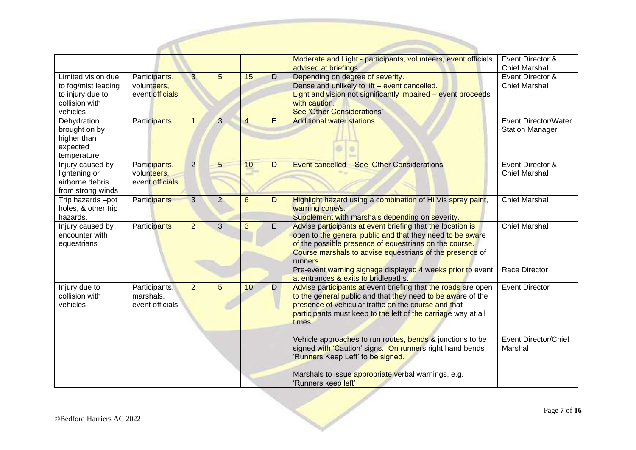|                                                                                             |                                                 |                |                |                |   | Moderate and Light - participants, volunteers, event officials<br>advised at briefings.                                                                                                                                                                                                                                 | Event Director &<br><b>Chief Marshal</b>              |
|---------------------------------------------------------------------------------------------|-------------------------------------------------|----------------|----------------|----------------|---|-------------------------------------------------------------------------------------------------------------------------------------------------------------------------------------------------------------------------------------------------------------------------------------------------------------------------|-------------------------------------------------------|
| Limited vision due<br>to fog/mist leading<br>to injury due to<br>collision with<br>vehicles | Participants,<br>volunteers,<br>event officials | $\overline{3}$ | 5              | 15             | D | Depending on degree of severity.<br>Dense and unlikely to lift - event cancelled.<br>Light and vision not significantly impaired - event proceeds<br>with caution.<br>See 'Other Considerations'                                                                                                                        | Event Director &<br><b>Chief Marshal</b>              |
| Dehydration<br>brought on by<br>higher than<br>expected<br>temperature                      | Participants                                    | $\mathbf{1}$   | 3              | $\overline{4}$ | E | <b>Additional water stations</b>                                                                                                                                                                                                                                                                                        | <b>Event Director/Water</b><br><b>Station Manager</b> |
| Injury caused by<br>lightening or<br>airborne debris<br>from strong winds                   | Participants,<br>volunteers,<br>event officials | $\overline{2}$ | 5              | 10             | D | Event cancelled - See 'Other Considerations'                                                                                                                                                                                                                                                                            | Event Director &<br><b>Chief Marshal</b>              |
| Trip hazards -pot<br>holes, & other trip<br>hazards.                                        | <b>Participants</b>                             | 3              | $\overline{2}$ | 6              | D | Highlight hazard using a combination of Hi Vis spray paint,<br>warning cone/s.<br>Supplement with marshals depending on severity.                                                                                                                                                                                       | <b>Chief Marshal</b>                                  |
| Injury caused by<br>encounter with<br>equestrians                                           | Participants                                    | $\overline{2}$ | $\overline{3}$ | 3              | E | Advise participants at event briefing that the location is<br>open to the general public and that they need to be aware<br>of the possible presence of equestrians on the course.<br>Course marshals to advise equestrians of the presence of<br>runners.<br>Pre-event warning signage displayed 4 weeks prior to event | <b>Chief Marshal</b><br>Race Director                 |
| Injury due to<br>collision with<br>vehicles                                                 | Participants,<br>marshals,<br>event officials   | $\overline{2}$ | 5              | 10             | D | at entrances & exits to bridlepaths.<br>Advise participants at event briefing that the roads are open<br>to the general public and that they need to be aware of the<br>presence of vehicular traffic on the course and that<br>participants must keep to the left of the carriage way at all<br>times.                 | <b>Event Director</b>                                 |
|                                                                                             |                                                 |                |                |                |   | Vehicle approaches to run routes, bends & junctions to be<br>signed with 'Caution' signs. On runners right hand bends<br>'Runners Keep Left' to be signed.<br>Marshals to issue appropriate verbal warnings, e.g.<br>'Runners keep left'                                                                                | <b>Event Director/Chief</b><br>Marshal                |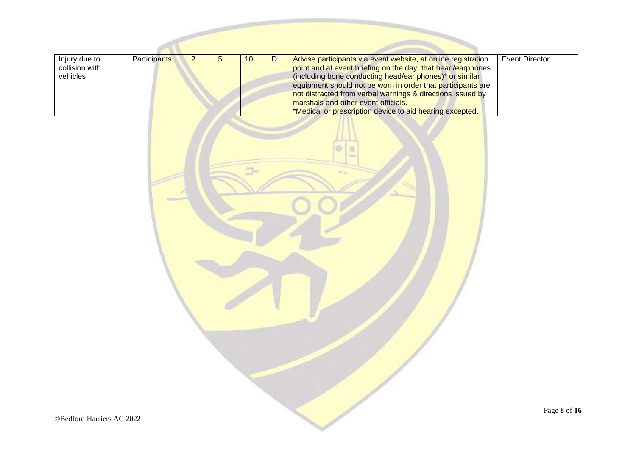| Injury due to<br>collision with<br>vehicles | <b>Participants</b> |  | 10 | Advise participants via event website, at online registration<br>point and at event briefing on the day, that head/earphones<br>(including bone conducting head/ear phones)* or similar<br>equipment should not be worn in order that participants are<br>not distracted from verbal warnings & directions issued by<br>marshals and other event officials.<br>*Medical or prescription device to aid hearing excepted. | Event Director |
|---------------------------------------------|---------------------|--|----|-------------------------------------------------------------------------------------------------------------------------------------------------------------------------------------------------------------------------------------------------------------------------------------------------------------------------------------------------------------------------------------------------------------------------|----------------|

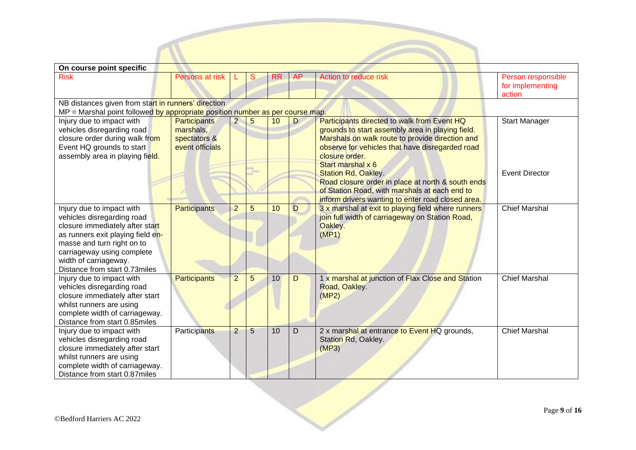| On course point specific                                                                                                                                                                                                                              |                                                              |                |                |           |             |                                                                                                                                                                                                                                                                            |                                                  |  |  |  |  |  |
|-------------------------------------------------------------------------------------------------------------------------------------------------------------------------------------------------------------------------------------------------------|--------------------------------------------------------------|----------------|----------------|-----------|-------------|----------------------------------------------------------------------------------------------------------------------------------------------------------------------------------------------------------------------------------------------------------------------------|--------------------------------------------------|--|--|--|--|--|
| <b>Risk</b>                                                                                                                                                                                                                                           | Persons at risk                                              |                | S              | <b>RR</b> | AP          | Action to reduce risk                                                                                                                                                                                                                                                      | Person responsible<br>for implementing<br>action |  |  |  |  |  |
| NB distances given from start in runners' direction<br>MP = Marshal point followed by appropriate position number as per course map.                                                                                                                  |                                                              |                |                |           |             |                                                                                                                                                                                                                                                                            |                                                  |  |  |  |  |  |
| Injury due to impact with<br>vehicles disregarding road<br>closure order during walk from<br>Event HQ grounds to start<br>assembly area in playing field.                                                                                             | Participants<br>marshals,<br>spectators &<br>event officials | $\overline{a}$ | 5              | 10        | D           | Participants directed to walk from Event HQ<br>grounds to start assembly area in playing field.<br>Marshals on walk route to provide direction and<br>observe for vehicles that have disregarded road<br>closure order.<br>Start marshal x 6<br><b>Station Rd, Oakley.</b> | <b>Start Manager</b><br><b>Event Director</b>    |  |  |  |  |  |
|                                                                                                                                                                                                                                                       |                                                              |                |                |           |             | Road closure order in place at north & south ends<br>of Station Road, with marshals at each end to<br>inform drivers wanting to enter road closed area.                                                                                                                    |                                                  |  |  |  |  |  |
| Injury due to impact with<br>vehicles disregarding road<br>closure immediately after start<br>as runners exit playing field en-<br>masse and turn right on to<br>carriageway using complete<br>width of carriageway.<br>Distance from start 0.73miles | Participants                                                 | $\overline{2}$ | $\overline{5}$ | 10        | D           | 3 x marshal at exit to playing field where runners<br>join full width of carriageway on Station Road,<br>Oakley.<br>(MP1)                                                                                                                                                  | <b>Chief Marshal</b>                             |  |  |  |  |  |
| Injury due to impact with<br>vehicles disregarding road<br>closure immediately after start<br>whilst runners are using<br>complete width of carriageway.<br>Distance from start 0.85miles                                                             | <b>Participants</b>                                          | $\overline{2}$ | 5              | 10        | D           | 1 x marshal at junction of Flax Close and Station<br>Road, Oakley.<br>(MP2)                                                                                                                                                                                                | <b>Chief Marshal</b>                             |  |  |  |  |  |
| Injury due to impact with<br>vehicles disregarding road<br>closure immediately after start<br>whilst runners are using<br>complete width of carriageway.<br>Distance from start 0.87miles                                                             | Participants                                                 | $\overline{2}$ | 5              | 10        | $\mathsf D$ | 2 x marshal at entrance to Event HQ grounds,<br>Station Rd, Oakley.<br>(MP3)                                                                                                                                                                                               | <b>Chief Marshal</b>                             |  |  |  |  |  |

De de de la provincia de la provincia de la provincia de la provincia de la provincia de la provincia de la provincia de la provincia de la provincia de la provincia de la provincia de la provincia de la provincia de la pr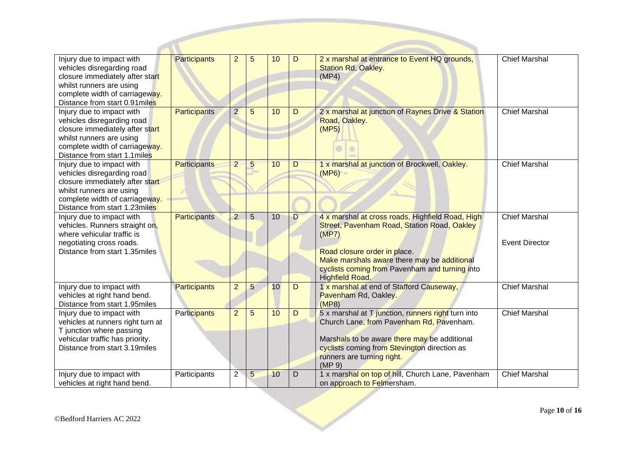| Injury due to impact with                                        | <b>Participants</b> | $\overline{2}$ | 5              | 10 | D              | 2 x marshal at entrance to Event HQ grounds,                                                 | <b>Chief Marshal</b>  |
|------------------------------------------------------------------|---------------------|----------------|----------------|----|----------------|----------------------------------------------------------------------------------------------|-----------------------|
| vehicles disregarding road                                       |                     |                |                |    |                | <b>Station Rd, Oakley.</b>                                                                   |                       |
| closure immediately after start                                  |                     |                |                |    |                | (MP4)                                                                                        |                       |
| whilst runners are using                                         |                     |                |                |    |                |                                                                                              |                       |
| complete width of carriageway.                                   |                     |                |                |    |                |                                                                                              |                       |
| Distance from start 0.91 miles                                   |                     |                |                |    |                |                                                                                              |                       |
| Injury due to impact with                                        | Participants        | $\overline{2}$ | 5              | 10 | D              | 2 x marshal at junction of Raynes Drive & Station                                            | <b>Chief Marshal</b>  |
| vehicles disregarding road                                       |                     |                |                |    |                | Road, Oakley.                                                                                |                       |
| closure immediately after start                                  |                     |                |                |    |                | (MP5)                                                                                        |                       |
| whilst runners are using                                         |                     |                |                |    |                |                                                                                              |                       |
| complete width of carriageway.                                   |                     |                |                |    |                |                                                                                              |                       |
| Distance from start 1.1 miles                                    |                     |                |                |    |                |                                                                                              |                       |
| Injury due to impact with                                        | Participants        | $\overline{2}$ | 5              | 10 | $\overline{D}$ | 1 x marshal at junction of Brockwell, Oakley.                                                | <b>Chief Marshal</b>  |
| vehicles disregarding road                                       |                     |                |                |    |                | (MP6)                                                                                        |                       |
| closure immediately after start<br>whilst runners are using      |                     |                |                |    |                |                                                                                              |                       |
| complete width of carriageway.                                   |                     |                |                |    |                |                                                                                              |                       |
| Distance from start 1.23miles                                    |                     |                |                |    |                |                                                                                              |                       |
| Injury due to impact with                                        | <b>Participants</b> | $\overline{2}$ | $\overline{5}$ | 10 | D              | 4 x marshal at cross roads, Highfield Road, High                                             | <b>Chief Marshal</b>  |
| vehicles. Runners straight on,                                   |                     |                |                |    |                | Street, Pavenham Road, Station Road, Oakley                                                  |                       |
| where vehicular traffic is                                       |                     |                |                |    |                | (MP7)                                                                                        |                       |
| negotiating cross roads.                                         |                     |                |                |    |                |                                                                                              | <b>Event Director</b> |
| Distance from start 1.35miles                                    |                     |                |                |    |                | Road closure order in place.                                                                 |                       |
|                                                                  |                     |                |                |    |                | Make marshals aware there may be additional                                                  |                       |
|                                                                  |                     |                |                |    |                | cyclists coming from Pavenham and turning into                                               |                       |
|                                                                  |                     |                |                |    |                | <b>Highfield Road.</b>                                                                       |                       |
| Injury due to impact with                                        | Participants        | $\overline{2}$ | 5              | 10 | D              | 1 x marshal at end of Stafford Causeway,                                                     | <b>Chief Marshal</b>  |
| vehicles at right hand bend.                                     |                     |                |                |    |                | Pavenham Rd, Oakley.                                                                         |                       |
| Distance from start 1.95miles                                    |                     |                |                |    |                | (MP8)                                                                                        |                       |
| Injury due to impact with                                        | <b>Participants</b> | $\overline{2}$ | 5              | 10 | D              | 5 x marshal at T junction, runners right turn into                                           | <b>Chief Marshal</b>  |
| vehicles at runners right turn at                                |                     |                |                |    |                | Church Lane, from Pavenham Rd, Pavenham.                                                     |                       |
| T junction where passing                                         |                     |                |                |    |                |                                                                                              |                       |
| vehicular traffic has priority.<br>Distance from start 3.19miles |                     |                |                |    |                | Marshals to be aware there may be additional<br>cyclists coming from Stevington direction as |                       |
|                                                                  |                     |                |                |    |                | runners are turning right.                                                                   |                       |
|                                                                  |                     |                |                |    |                | (MP <sub>9</sub> )                                                                           |                       |
| Injury due to impact with                                        | Participants        | $\overline{2}$ | 5              | 10 | D              | 1 x marshal on top of hill, Church Lane, Pavenham                                            | <b>Chief Marshal</b>  |
| vehicles at right hand bend.                                     |                     |                |                |    |                | on approach to Felmersham.                                                                   |                       |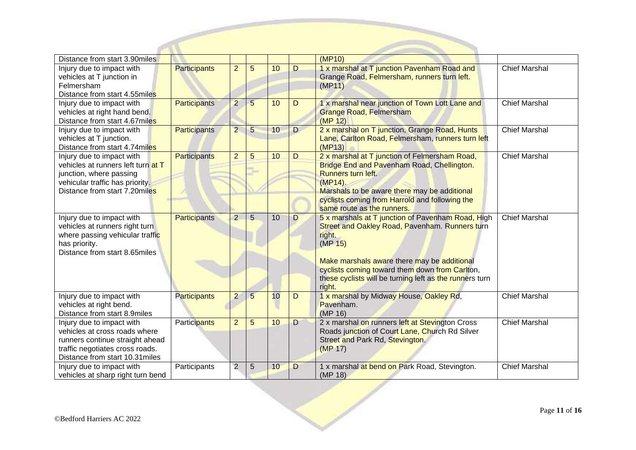| Distance from start 3.90miles                  |                     |                |                 |    |   | (MP10)                                                  |                      |
|------------------------------------------------|---------------------|----------------|-----------------|----|---|---------------------------------------------------------|----------------------|
| Injury due to impact with                      | <b>Participants</b> | $\overline{2}$ | 5               | 10 | D | 1 x marshal at T junction Pavenham Road and             | <b>Chief Marshal</b> |
| vehicles at T junction in                      |                     |                |                 |    |   | Grange Road, Felmersham, runners turn left.             |                      |
| Felmersham                                     |                     |                |                 |    |   | (MP11)                                                  |                      |
| Distance from start 4.55miles                  |                     |                |                 |    |   |                                                         |                      |
| Injury due to impact with                      | <b>Participants</b> | $\overline{2}$ | $\overline{5}$  | 10 | D | 1 x marshal near junction of Town Lott Lane and         | <b>Chief Marshal</b> |
| vehicles at right hand bend.                   |                     |                |                 |    |   | <b>Grange Road, Felmersham</b>                          |                      |
| Distance from start 4.67miles                  |                     |                |                 |    |   | (MP 12)                                                 |                      |
| Injury due to impact with                      | <b>Participants</b> | $\overline{2}$ | 5               | 10 | D | 2 x marshal on T junction, Grange Road, Hunts           | <b>Chief Marshal</b> |
| vehicles at T junction.                        |                     |                |                 |    |   | Lane, Carlton Road, Felmersham, runners turn left       |                      |
| Distance from start 4.74miles                  |                     |                |                 |    |   | (MP13)                                                  |                      |
| Injury due to impact with                      | <b>Participants</b> | $\overline{2}$ | 5               | 10 | D | 2 x marshal at T junction of Felmersham Road,           | <b>Chief Marshal</b> |
| vehicles at runners left turn at T             |                     |                | m               |    |   | Bridge End and Pavenham Road, Chellington.              |                      |
| junction, where passing                        |                     |                |                 |    |   | <b>Runners turn left.</b>                               |                      |
| vehicular traffic has priority.                |                     |                |                 |    |   | $(MP14)$ .                                              |                      |
| Distance from start 7.20miles                  |                     |                |                 |    |   | Marshals to be aware there may be additional            |                      |
|                                                |                     |                |                 |    |   | cyclists coming from Harrold and following the          |                      |
|                                                |                     |                |                 |    |   | same route as the runners.                              |                      |
| Injury due to impact with                      | <b>Participants</b> | $\overline{2}$ | $\overline{5}$  | 10 | D | 5 x marshals at T junction of Pavenham Road, High       | <b>Chief Marshal</b> |
| vehicles at runners right turn                 |                     |                |                 |    |   | Street and Oakley Road, Pavenham. Runners turn          |                      |
| where passing vehicular traffic                |                     |                |                 |    |   | right.<br>(MP <sub>15</sub> )                           |                      |
| has priority.<br>Distance from start 8.65miles |                     |                |                 |    |   |                                                         |                      |
|                                                |                     |                |                 |    |   | Make marshals aware there may be additional             |                      |
|                                                |                     |                |                 |    |   | cyclists coming toward them down from Carlton,          |                      |
|                                                |                     |                |                 |    |   | these cyclists will be turning left as the runners turn |                      |
|                                                |                     |                |                 |    |   | right.                                                  |                      |
| Injury due to impact with                      | <b>Participants</b> | $\overline{2}$ | $5\phantom{.0}$ | 10 | D | 1 x marshal by Midway House, Oakley Rd,                 | <b>Chief Marshal</b> |
| vehicles at right bend.                        |                     |                |                 |    |   | Pavenham.                                               |                      |
| Distance from start 8.9miles                   |                     |                |                 |    |   | (MP 16)                                                 |                      |
| Injury due to impact with                      | <b>Participants</b> | $\overline{2}$ | 5               | 10 | D | 2 x marshal on runners left at Stevington Cross         | <b>Chief Marshal</b> |
| vehicles at cross roads where                  |                     |                |                 |    |   | Roads junction of Court Lane, Church Rd Silver          |                      |
| runners continue straight ahead                |                     |                |                 |    |   | Street and Park Rd, Stevington.                         |                      |
| traffic negotiates cross roads.                |                     |                |                 |    |   | (MP 17)                                                 |                      |
| Distance from start 10.31miles                 |                     |                |                 |    |   |                                                         |                      |
| Injury due to impact with                      | Participants        | $\overline{2}$ | 5               | 10 | D | 1 x marshal at bend on Park Road, Stevington.           | <b>Chief Marshal</b> |
| vehicles at sharp right turn bend              |                     |                |                 |    |   | (MP 18)                                                 |                      |

P St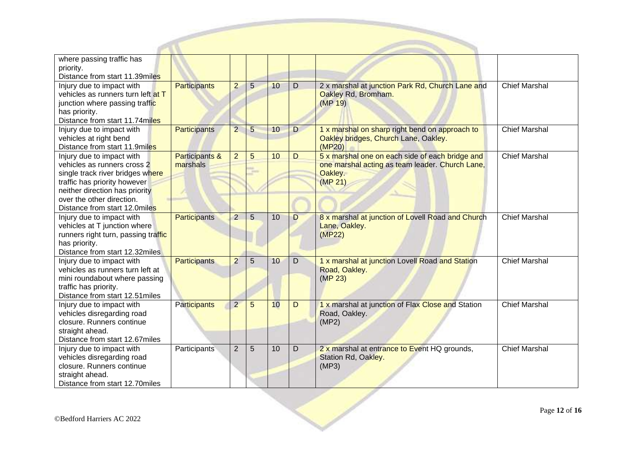| where passing traffic has<br>priority.                                                                                                                                                                                       |                            |                |                 |    |   |                                                                                                                          |                      |
|------------------------------------------------------------------------------------------------------------------------------------------------------------------------------------------------------------------------------|----------------------------|----------------|-----------------|----|---|--------------------------------------------------------------------------------------------------------------------------|----------------------|
| Distance from start 11.39miles                                                                                                                                                                                               |                            |                |                 |    |   |                                                                                                                          |                      |
| Injury due to impact with<br>vehicles as runners turn left at T<br>junction where passing traffic<br>has priority.<br>Distance from start 11.74miles                                                                         | <b>Participants</b>        | $\overline{2}$ | $5\overline{)}$ | 10 | D | 2 x marshal at junction Park Rd, Church Lane and<br>Oakley Rd, Bromham.<br>(MP <sub>19</sub> )                           | <b>Chief Marshal</b> |
| Injury due to impact with<br>vehicles at right bend<br>Distance from start 11.9miles                                                                                                                                         | <b>Participants</b>        | $\overline{2}$ | 5               | 10 | D | 1 x marshal on sharp right bend on approach to<br>Oakley bridges, Church Lane, Oakley.<br>(MP20)                         | <b>Chief Marshal</b> |
| Injury due to impact with<br>vehicles as runners cross 2<br>single track river bridges where<br>traffic has priority however<br>neither direction has priority<br>over the other direction.<br>Distance from start 12.0miles | Participants &<br>marshals | $\overline{2}$ | 5<br>m          | 10 | D | 5 x marshal one on each side of each bridge and<br>one marshal acting as team leader. Church Lane,<br>Oakley.<br>(MP 21) | <b>Chief Marshal</b> |
| Injury due to impact with<br>vehicles at T junction where<br>runners right turn, passing traffic<br>has priority.<br>Distance from start 12.32miles                                                                          | <b>Participants</b>        | $\overline{2}$ | $\overline{5}$  | 10 | D | 8 x marshal at junction of Lovell Road and Church<br>Lane, Oakley.<br>(MP22)                                             | <b>Chief Marshal</b> |
| Injury due to impact with<br>vehicles as runners turn left at<br>mini roundabout where passing<br>traffic has priority.<br>Distance from start 12.51miles                                                                    | <b>Participants</b>        | $\overline{2}$ | 5               | 10 | D | 1 x marshal at junction Lovell Road and Station<br>Road, Oakley.<br>(MP <sub>23</sub> )                                  | <b>Chief Marshal</b> |
| Injury due to impact with<br>vehicles disregarding road<br>closure. Runners continue<br>straight ahead.<br>Distance from start 12.67miles                                                                                    | <b>Participants</b>        | $\overline{2}$ | 5               | 10 | D | 1 x marshal at junction of Flax Close and Station<br>Road, Oakley.<br>(MP2)                                              | <b>Chief Marshal</b> |
| Injury due to impact with<br>vehicles disregarding road<br>closure. Runners continue<br>straight ahead.<br>Distance from start 12.70miles                                                                                    | Participants               | $\overline{2}$ | 5               | 10 | D | 2 x marshal at entrance to Event HQ grounds,<br>Station Rd, Oakley.<br>(MP3)                                             | <b>Chief Marshal</b> |
| ©Bedford Harriers AC 2022                                                                                                                                                                                                    |                            |                |                 |    |   |                                                                                                                          | Page 12 of 1         |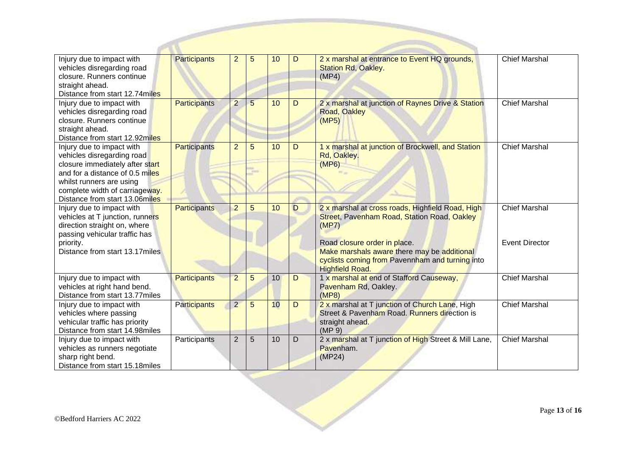| Injury due to impact with<br>vehicles disregarding road          | <b>Participants</b> | $\overline{2}$ | 5 | 10 | D | 2 x marshal at entrance to Event HQ grounds,<br>Station Rd, Oakley. | <b>Chief Marshal</b>  |
|------------------------------------------------------------------|---------------------|----------------|---|----|---|---------------------------------------------------------------------|-----------------------|
| closure. Runners continue                                        |                     |                |   |    |   | (MP4)                                                               |                       |
| straight ahead.                                                  |                     |                |   |    |   |                                                                     |                       |
| Distance from start 12.74miles                                   |                     |                |   |    |   |                                                                     |                       |
| Injury due to impact with                                        | Participants        | $\overline{2}$ | 5 | 10 | D | 2 x marshal at junction of Raynes Drive & Station                   | <b>Chief Marshal</b>  |
| vehicles disregarding road                                       |                     |                |   |    |   | <b>Road, Oakley</b>                                                 |                       |
| closure. Runners continue                                        |                     |                |   |    |   | (MP5)                                                               |                       |
| straight ahead.                                                  |                     |                |   |    |   |                                                                     |                       |
| Distance from start 12.92miles<br>Injury due to impact with      | <b>Participants</b> | $\overline{2}$ | 5 | 10 | D | 1 x marshal at junction of Brockwell, and Station                   | <b>Chief Marshal</b>  |
| vehicles disregarding road                                       |                     |                |   |    |   | Rd, Oakley.                                                         |                       |
| closure immediately after start                                  |                     |                |   |    |   | (MP6)                                                               |                       |
| and for a distance of 0.5 miles                                  |                     |                | ÷ |    |   |                                                                     |                       |
| whilst runners are using                                         |                     |                |   |    |   |                                                                     |                       |
| complete width of carriageway.                                   |                     |                |   |    |   |                                                                     |                       |
| Distance from start 13.06miles                                   |                     |                |   |    |   |                                                                     |                       |
| Injury due to impact with                                        | Participants        | $\overline{2}$ | 5 | 10 | D | 2 x marshal at cross roads, Highfield Road, High                    | Chief Marshal         |
| vehicles at T junction, runners                                  |                     |                |   |    |   | Street, Pavenham Road, Station Road, Oakley                         |                       |
| direction straight on, where                                     |                     |                |   |    |   | (MP7)                                                               |                       |
| passing vehicular traffic has<br>priority.                       |                     |                |   |    |   | Road closure order in place.                                        | <b>Event Director</b> |
| Distance from start 13.17miles                                   |                     |                |   |    |   | Make marshals aware there may be additional                         |                       |
|                                                                  |                     |                |   |    |   | cyclists coming from Pavennham and turning into                     |                       |
|                                                                  |                     |                |   |    |   | <b>Highfield Road.</b>                                              |                       |
| Injury due to impact with                                        | <b>Participants</b> | $\overline{2}$ | 5 | 10 | D | 1 x marshal at end of Stafford Causeway,                            | <b>Chief Marshal</b>  |
| vehicles at right hand bend.                                     |                     |                |   |    |   | Pavenham Rd, Oakley.                                                |                       |
| Distance from start 13.77miles                                   |                     |                |   |    |   | (MP8)                                                               |                       |
| Injury due to impact with                                        | <b>Participants</b> | $\overline{2}$ | 5 | 10 | D | 2 x marshal at T junction of Church Lane, High                      | <b>Chief Marshal</b>  |
| vehicles where passing                                           |                     |                |   |    |   | Street & Pavenham Road. Runners direction is                        |                       |
| vehicular traffic has priority<br>Distance from start 14.98miles |                     |                |   |    |   | straight ahead.<br>(MP 9)                                           |                       |
| Injury due to impact with                                        | Participants        | $\overline{2}$ | 5 | 10 | D | 2 x marshal at T junction of High Street & Mill Lane,               | Chief Marshal         |
| vehicles as runners negotiate                                    |                     |                |   |    |   | Pavenham.                                                           |                       |
| sharp right bend.                                                |                     |                |   |    |   | (MP24)                                                              |                       |
| Distance from start 15.18miles                                   |                     |                |   |    |   |                                                                     |                       |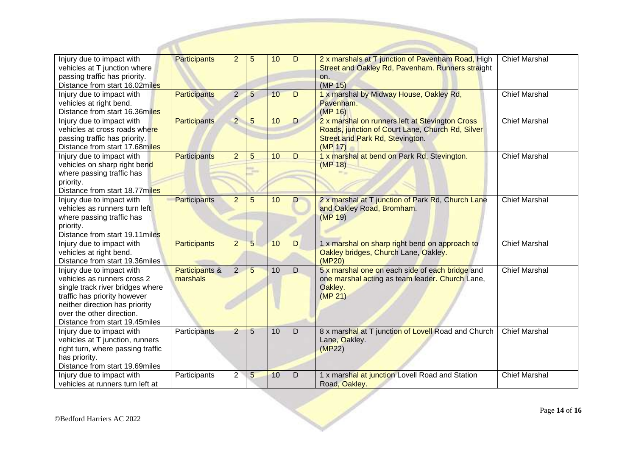| Injury due to impact with<br>vehicles at T junction where<br>passing traffic has priority.<br>Distance from start 16.02miles                                                                                                  | <b>Participants</b>        | 2              | 5               | 10 | D              | 2 x marshals at T junction of Pavenham Road, High<br>Street and Oakley Rd, Pavenham. Runners straight<br>on.<br>(MP 15)                           | <b>Chief Marshal</b> |
|-------------------------------------------------------------------------------------------------------------------------------------------------------------------------------------------------------------------------------|----------------------------|----------------|-----------------|----|----------------|---------------------------------------------------------------------------------------------------------------------------------------------------|----------------------|
| Injury due to impact with<br>vehicles at right bend.<br>Distance from start 16.36miles                                                                                                                                        | Participants               | $\overline{2}$ | 5               | 10 | D              | 1 x marshal by Midway House, Oakley Rd,<br>Pavenham.<br>(MP 16)                                                                                   | <b>Chief Marshal</b> |
| Injury due to impact with<br>vehicles at cross roads where<br>passing traffic has priority.<br>Distance from start 17.68miles                                                                                                 | Participants               | $\overline{2}$ | 5               | 10 | D              | 2 x marshal on runners left at Stevington Cross<br>Roads, junction of Court Lane, Church Rd, Silver<br>Street and Park Rd, Stevington.<br>(MP 17) | <b>Chief Marshal</b> |
| Injury due to impact with<br>vehicles on sharp right bend<br>where passing traffic has<br>priority.<br>Distance from start 18.77miles                                                                                         | <b>Participants</b>        | $\overline{2}$ | 5               | 10 | D              | 1 x marshal at bend on Park Rd, Stevington.<br>(MP 18)                                                                                            | <b>Chief Marshal</b> |
| Injury due to impact with<br>vehicles as runners turn left<br>where passing traffic has<br>priority.<br>Distance from start 19.11miles                                                                                        | Participants               | $\overline{2}$ | 5               | 10 | D              | 2 x marshal at T junction of Park Rd, Church Lane<br>and Oakley Road, Bromham.<br>(MP 19)                                                         | <b>Chief Marshal</b> |
| Injury due to impact with<br>vehicles at right bend.<br>Distance from start 19.36miles                                                                                                                                        | Participants               | $\overline{2}$ | $\overline{5}$  | 10 | $\overline{D}$ | 1 x marshal on sharp right bend on approach to<br>Oakley bridges, Church Lane, Oakley.<br>(MP20)                                                  | <b>Chief Marshal</b> |
| Injury due to impact with<br>vehicles as runners cross 2<br>single track river bridges where<br>traffic has priority however<br>neither direction has priority<br>over the other direction.<br>Distance from start 19.45miles | Participants &<br>marshals | $\overline{2}$ | 5               | 10 | D              | 5 x marshal one on each side of each bridge and<br>one marshal acting as team leader. Church Lane,<br>Oakley.<br>(MP 21)                          | <b>Chief Marshal</b> |
| Injury due to impact with<br>vehicles at T junction, runners<br>right turn, where passing traffic<br>has priority.<br>Distance from start 19.69miles                                                                          | Participants               | $\overline{2}$ | 5               | 10 | D              | 8 x marshal at T junction of Lovell Road and Church<br>Lane, Oakley.<br>(MP22)                                                                    | <b>Chief Marshal</b> |
| Injury due to impact with<br>vehicles at runners turn left at                                                                                                                                                                 | Participants               | $\overline{2}$ | $5\overline{)}$ | 10 | D              | 1 x marshal at junction Lovell Road and Station<br>Road, Oakley.                                                                                  | <b>Chief Marshal</b> |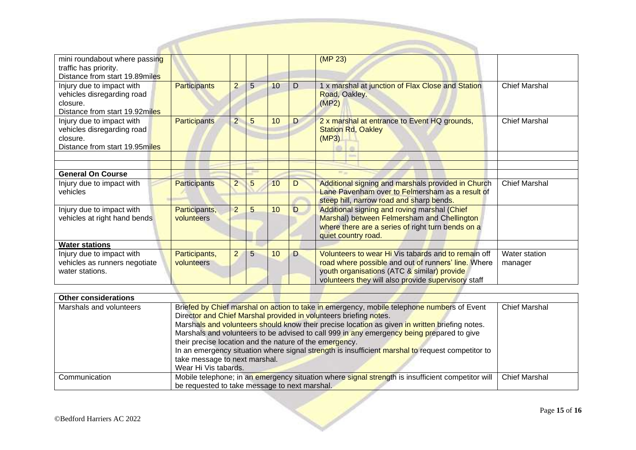| mini roundabout where passing<br>traffic has priority.<br>Distance from start 19.89miles              |                             |                |   |    |   | (MP 23)                                                                                                                                                                                                          |                          |
|-------------------------------------------------------------------------------------------------------|-----------------------------|----------------|---|----|---|------------------------------------------------------------------------------------------------------------------------------------------------------------------------------------------------------------------|--------------------------|
| Injury due to impact with<br>vehicles disregarding road<br>closure.<br>Distance from start 19.92miles | <b>Participants</b>         | $\overline{2}$ | 5 | 10 | D | 1 x marshal at junction of Flax Close and Station<br>Road, Oakley.<br>(MP2)                                                                                                                                      | <b>Chief Marshal</b>     |
| Injury due to impact with<br>vehicles disregarding road<br>closure.<br>Distance from start 19.95miles | <b>Participants</b>         | $\overline{2}$ | 5 | 10 | D | 2 x marshal at entrance to Event HQ grounds,<br><b>Station Rd, Oakley</b><br>(MP3)<br><b>Signal</b>                                                                                                              | <b>Chief Marshal</b>     |
| <b>General On Course</b>                                                                              |                             |                |   |    |   |                                                                                                                                                                                                                  |                          |
| Injury due to impact with<br>vehicles                                                                 | <b>Participants</b>         | $\overline{2}$ | 5 | 10 | D | Additional signing and marshals provided in Church<br>Lane Pavenham over to Felmersham as a result of<br>steep hill, narrow road and sharp bends.                                                                | <b>Chief Marshal</b>     |
| Injury due to impact with<br>vehicles at right hand bends                                             | Participants,<br>volunteers | $\overline{2}$ | 5 | 10 | D | Additional signing and roving marshal (Chief<br>Marshal) between Felmersham and Chellington<br>where there are a series of right turn bends on a<br>quiet country road.                                          |                          |
| <b>Water stations</b>                                                                                 |                             |                |   |    |   |                                                                                                                                                                                                                  |                          |
| Injury due to impact with<br>vehicles as runners negotiate<br>water stations.                         | Participants,<br>volunteers | $\overline{2}$ | 5 | 10 | D | Volunteers to wear Hi Vis tabards and to remain off<br>road where possible and out of runners' line. Where<br>youth organisations (ATC & similar) provide<br>volunteers they will also provide supervisory staff | Water station<br>manager |

| <b>Other considerations</b> |                                                                                                   |                      |
|-----------------------------|---------------------------------------------------------------------------------------------------|----------------------|
| Marshals and volunteers     | Briefed by Chief marshal on action to take in emergency, mobile telephone numbers of Event        | <b>Chief Marshal</b> |
|                             | Director and Chief Marshal provided in volunteers briefing notes.                                 |                      |
|                             | Marshals and volunteers should know their precise location as given in written briefing notes.    |                      |
|                             | Marshals and volunteers to be advised to call 999 in any emergency being prepared to give         |                      |
|                             | their precise location and the nature of the emergency.                                           |                      |
|                             | In an emergency situation where signal strength is insufficient marshal to request competitor to  |                      |
|                             | take message to next marshal.                                                                     |                      |
|                             | Wear Hi Vis tabards.                                                                              |                      |
| Communication               | Mobile telephone; in an emergency situation where signal strength is insufficient competitor will | <b>Chief Marshal</b> |
|                             | be requested to take message to next marshal.                                                     |                      |